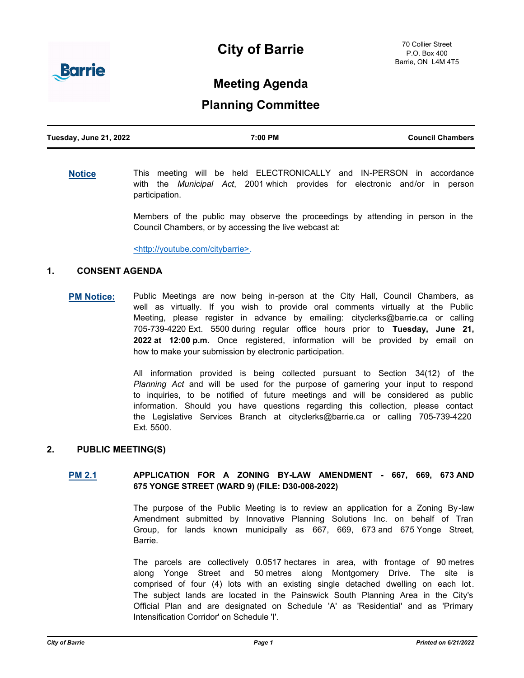# **City of Barrie**



## **Meeting Agenda**

## **Planning Committee**

| Tuesday, June 21, 2022 | 7:00 PM | <b>Council Chambers</b> |
|------------------------|---------|-------------------------|
|                        |         |                         |

**[Notice](http://barrie.ca.legistar.com/gateway.aspx?m=l&id=/matter.aspx?key=46586)** This meeting will be held ELECTRONICALLY and IN-PERSON in accordance with the *Municipal Act*, 2001 which provides for electronic and/or in person participation.

> Members of the public may observe the proceedings by attending in person in the Council Chambers, or by accessing the live webcast at:

<http://youtube.com/citybarrie>.

## **1. CONSENT AGENDA**

**[PM Notice:](http://barrie.ca.legistar.com/gateway.aspx?m=l&id=/matter.aspx?key=46461)** Public Meetings are now being in-person at the City Hall, Council Chambers, as well as virtually. If you wish to provide oral comments virtually at the Public Meeting, please register in advance by emailing: cityclerks@barrie.ca or calling 705-739-4220 Ext. 5500 during regular office hours prior to **Tuesday, June 21, 2022 at 12:00 p.m.** Once registered, information will be provided by email on how to make your submission by electronic participation.

> All information provided is being collected pursuant to Section 34(12) of the *Planning Act* and will be used for the purpose of garnering your input to respond to inquiries, to be notified of future meetings and will be considered as public information. Should you have questions regarding this collection, please contact the Legislative Services Branch at cityclerks@barrie.ca or calling 705-739-4220 Ext. 5500.

## **2. PUBLIC MEETING(S)**

## **[PM 2.1](http://barrie.ca.legistar.com/gateway.aspx?m=l&id=/matter.aspx?key=50730) APPLICATION FOR A ZONING BY-LAW AMENDMENT - 667, 669, 673 AND 675 YONGE STREET (WARD 9) (FILE: D30-008-2022)**

The purpose of the Public Meeting is to review an application for a Zoning By-law Amendment submitted by Innovative Planning Solutions Inc. on behalf of Tran Group, for lands known municipally as 667, 669, 673 and 675 Yonge Street, Barrie.

The parcels are collectively 0.0517 hectares in area, with frontage of 90 metres along Yonge Street and 50 metres along Montgomery Drive. The site is comprised of four (4) lots with an existing single detached dwelling on each lot. The subject lands are located in the Painswick South Planning Area in the City's Official Plan and are designated on Schedule 'A' as 'Residential' and as 'Primary Intensification Corridor' on Schedule 'I'.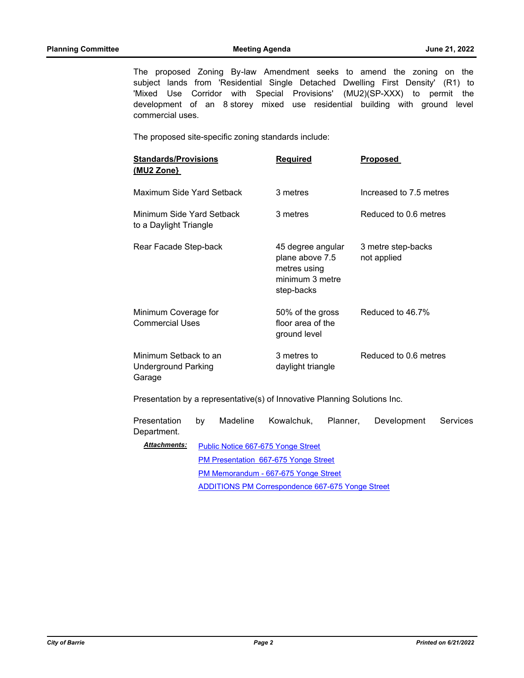The proposed Zoning By-law Amendment seeks to amend the zoning on the subject lands from 'Residential Single Detached Dwelling First Density' (R1) to 'Mixed Use Corridor with Special Provisions' (MU2)(SP-XXX) to permit the development of an 8 storey mixed use residential building with ground level commercial uses.

The proposed site-specific zoning standards include:

| <b>Standards/Provisions</b><br>(MU2 Zone}                     | <b>Required</b>                                                                       | <b>Proposed</b>                   |
|---------------------------------------------------------------|---------------------------------------------------------------------------------------|-----------------------------------|
| Maximum Side Yard Setback                                     | 3 metres                                                                              | Increased to 7.5 metres           |
| Minimum Side Yard Setback<br>to a Daylight Triangle           | 3 metres                                                                              | Reduced to 0.6 metres             |
| Rear Facade Step-back                                         | 45 degree angular<br>plane above 7.5<br>metres using<br>minimum 3 metre<br>step-backs | 3 metre step-backs<br>not applied |
| Minimum Coverage for<br>Commercial Uses                       | 50% of the gross<br>floor area of the<br>ground level                                 | Reduced to 46.7%                  |
| Minimum Setback to an<br><b>Underground Parking</b><br>Garage | 3 metres to<br>daylight triangle                                                      | Reduced to 0.6 metres             |

Presentation by a representative(s) of Innovative Planning Solutions Inc.

| Presentation<br>Department. | bv                                                                                                                                             | Madeline | Kowalchuk, | Planner. | Development | Services |
|-----------------------------|------------------------------------------------------------------------------------------------------------------------------------------------|----------|------------|----------|-------------|----------|
| <b>Attachments:</b>         | Public Notice 667-675 Yonge Street                                                                                                             |          |            |          |             |          |
|                             | <b>PM Presentation 667-675 Yonge Street</b><br>PM Memorandum - 667-675 Yonge Street<br><b>ADDITIONS PM Correspondence 667-675 Yonge Street</b> |          |            |          |             |          |
|                             |                                                                                                                                                |          |            |          |             |          |
|                             |                                                                                                                                                |          |            |          |             |          |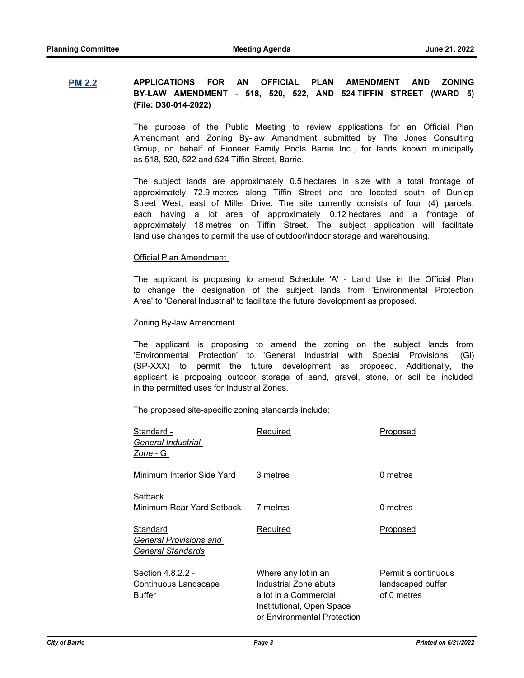## **[PM 2.2](http://barrie.ca.legistar.com/gateway.aspx?m=l&id=/matter.aspx?key=50756) APPLICATIONS FOR AN OFFICIAL PLAN AMENDMENT AND ZONING BY-LAW AMENDMENT - 518, 520, 522, AND 524 TIFFIN STREET (WARD 5) (File: D30-014-2022)**

The purpose of the Public Meeting to review applications for an Official Plan Amendment and Zoning By-law Amendment submitted by The Jones Consulting Group, on behalf of Pioneer Family Pools Barrie Inc., for lands known municipally as 518, 520, 522 and 524 Tiffin Street, Barrie.

The subject lands are approximately 0.5 hectares in size with a total frontage of approximately 72.9 metres along Tiffin Street and are located south of Dunlop Street West, east of Miller Drive. The site currently consists of four (4) parcels, each having a lot area of approximately 0.12 hectares and a frontage of approximately 18 metres on Tiffin Street. The subject application will facilitate land use changes to permit the use of outdoor/indoor storage and warehousing.

#### Official Plan Amendment

The applicant is proposing to amend Schedule 'A' - Land Use in the Official Plan to change the designation of the subject lands from 'Environmental Protection Area' to 'General Industrial' to facilitate the future development as proposed.

#### Zoning By-law Amendment

The applicant is proposing to amend the zoning on the subject lands from 'Environmental Protection' to 'General Industrial with Special Provisions' (Gl) (SP-XXX) to permit the future development as proposed. Additionally, the applicant is proposing outdoor storage of sand, gravel, stone, or soil be included in the permitted uses for Industrial Zones.

The proposed site-specific zoning standards include:

| Standard -<br>General Industrial<br>Zone - Gl                  | Required                                                                                                                           | Proposed                                                |
|----------------------------------------------------------------|------------------------------------------------------------------------------------------------------------------------------------|---------------------------------------------------------|
| Minimum Interior Side Yard                                     | 3 metres                                                                                                                           | 0 metres                                                |
| Setback<br>Minimum Rear Yard Setback                           | 7 metres                                                                                                                           | 0 metres                                                |
| Standard<br>General Provisions and<br><b>General Standards</b> | Required                                                                                                                           | Proposed                                                |
| Section 4.8.2.2 -<br>Continuous Landscape<br>Buffer            | Where any lot in an<br>Industrial Zone abuts<br>a lot in a Commercial,<br>Institutional, Open Space<br>or Environmental Protection | Permit a continuous<br>landscaped buffer<br>of 0 metres |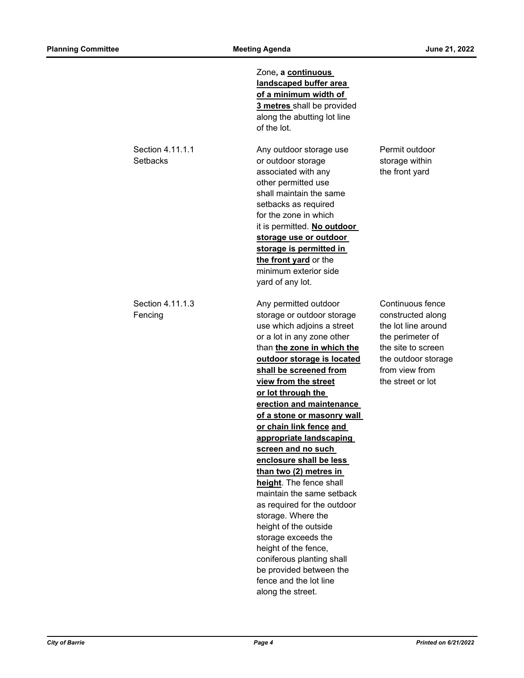Zone**, a continuous landscaped buffer area of a minimum width of 3 metres** shall be provided along the abutting lot line of the lot. Section 4.11.1.1 **Any outdoor storage use** Permit outdoor Setbacks **Setbacks** or outdoor storage storage within associated with any the front yard other permitted use shall maintain the same setbacks as required for the zone in which it is permitted. **No outdoor storage use or outdoor storage is permitted in the front yard** or the minimum exterior side yard of any lot. Section 4.11.1.3 Any permitted outdoor Continuous fence Fencing storage or outdoor storage constructed along use which adjoins a street the lot line around or a lot in any zone other the perimeter of than **the zone in which the** the site to screen **outdoor storage is located** the outdoor storage **shall be screened from** from view from **view from the street** the street or lot **or lot through the erection and maintenance of a stone or masonry wall or chain link fence and appropriate landscaping screen and no such enclosure shall be less than two (2) metres in height**. The fence shall maintain the same setback as required for the outdoor storage. Where the height of the outside storage exceeds the height of the fence, coniferous planting shall be provided between the fence and the lot line along the street.